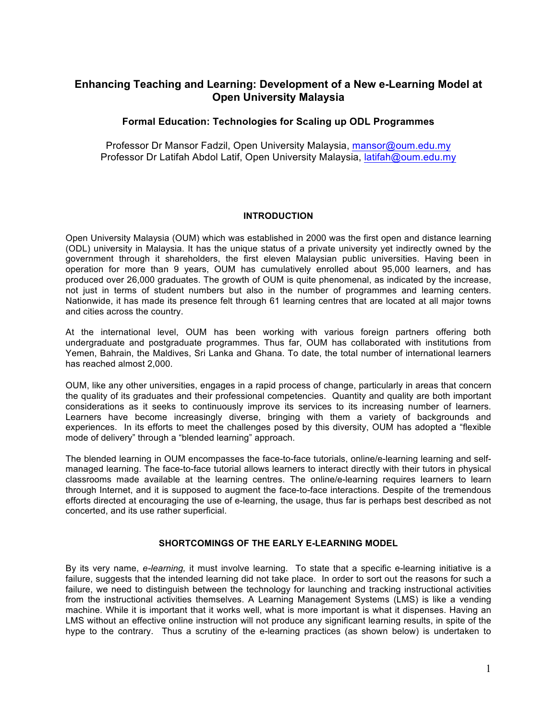# **Enhancing Teaching and Learning: Development of a New e-Learning Model at Open University Malaysia**

# **Formal Education: Technologies for Scaling up ODL Programmes**

Professor Dr Mansor Fadzil, Open University Malaysia, mansor@oum.edu.my Professor Dr Latifah Abdol Latif, Open University Malaysia, latifah@oum.edu.my

# **INTRODUCTION**

Open University Malaysia (OUM) which was established in 2000 was the first open and distance learning (ODL) university in Malaysia. It has the unique status of a private university yet indirectly owned by the government through it shareholders, the first eleven Malaysian public universities. Having been in operation for more than 9 years, OUM has cumulatively enrolled about 95,000 learners, and has produced over 26,000 graduates. The growth of OUM is quite phenomenal, as indicated by the increase, not just in terms of student numbers but also in the number of programmes and learning centers. Nationwide, it has made its presence felt through 61 learning centres that are located at all major towns and cities across the country.

At the international level, OUM has been working with various foreign partners offering both undergraduate and postgraduate programmes. Thus far, OUM has collaborated with institutions from Yemen, Bahrain, the Maldives, Sri Lanka and Ghana. To date, the total number of international learners has reached almost 2,000.

OUM, like any other universities, engages in a rapid process of change, particularly in areas that concern the quality of its graduates and their professional competencies. Quantity and quality are both important considerations as it seeks to continuously improve its services to its increasing number of learners. Learners have become increasingly diverse, bringing with them a variety of backgrounds and experiences. In its efforts to meet the challenges posed by this diversity, OUM has adopted a "flexible mode of delivery" through a "blended learning" approach.

The blended learning in OUM encompasses the face-to-face tutorials, online/e-learning learning and selfmanaged learning. The face-to-face tutorial allows learners to interact directly with their tutors in physical classrooms made available at the learning centres. The online/e-learning requires learners to learn through Internet, and it is supposed to augment the face-to-face interactions. Despite of the tremendous efforts directed at encouraging the use of e-learning, the usage, thus far is perhaps best described as not concerted, and its use rather superficial.

# **SHORTCOMINGS OF THE EARLY E-LEARNING MODEL**

By its very name, *e-learning,* it must involve learning. To state that a specific e-learning initiative is a failure, suggests that the intended learning did not take place. In order to sort out the reasons for such a failure, we need to distinguish between the technology for launching and tracking instructional activities from the instructional activities themselves. A Learning Management Systems (LMS) is like a vending machine. While it is important that it works well, what is more important is what it dispenses. Having an LMS without an effective online instruction will not produce any significant learning results, in spite of the hype to the contrary. Thus a scrutiny of the e-learning practices (as shown below) is undertaken to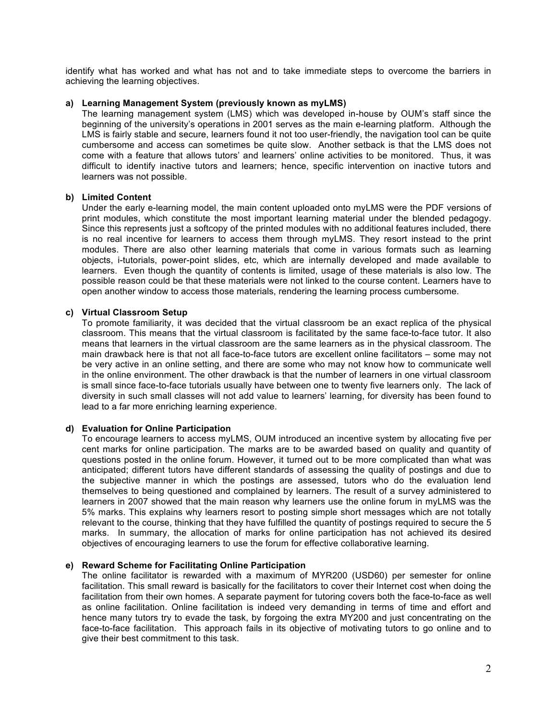identify what has worked and what has not and to take immediate steps to overcome the barriers in achieving the learning objectives.

#### **a) Learning Management System (previously known as myLMS)**

The learning management system (LMS) which was developed in-house by OUM's staff since the beginning of the university's operations in 2001 serves as the main e-learning platform. Although the LMS is fairly stable and secure, learners found it not too user-friendly, the navigation tool can be quite cumbersome and access can sometimes be quite slow. Another setback is that the LMS does not come with a feature that allows tutors' and learners' online activities to be monitored. Thus, it was difficult to identify inactive tutors and learners; hence, specific intervention on inactive tutors and learners was not possible.

## **b) Limited Content**

Under the early e-learning model, the main content uploaded onto myLMS were the PDF versions of print modules, which constitute the most important learning material under the blended pedagogy. Since this represents just a softcopy of the printed modules with no additional features included, there is no real incentive for learners to access them through myLMS. They resort instead to the print modules. There are also other learning materials that come in various formats such as learning objects, i-tutorials, power-point slides, etc, which are internally developed and made available to learners. Even though the quantity of contents is limited, usage of these materials is also low. The possible reason could be that these materials were not linked to the course content. Learners have to open another window to access those materials, rendering the learning process cumbersome.

# **c) Virtual Classroom Setup**

To promote familiarity, it was decided that the virtual classroom be an exact replica of the physical classroom. This means that the virtual classroom is facilitated by the same face-to-face tutor. It also means that learners in the virtual classroom are the same learners as in the physical classroom. The main drawback here is that not all face-to-face tutors are excellent online facilitators – some may not be very active in an online setting, and there are some who may not know how to communicate well in the online environment. The other drawback is that the number of learners in one virtual classroom is small since face-to-face tutorials usually have between one to twenty five learners only. The lack of diversity in such small classes will not add value to learners' learning, for diversity has been found to lead to a far more enriching learning experience.

#### **d) Evaluation for Online Participation**

To encourage learners to access myLMS, OUM introduced an incentive system by allocating five per cent marks for online participation. The marks are to be awarded based on quality and quantity of questions posted in the online forum. However, it turned out to be more complicated than what was anticipated; different tutors have different standards of assessing the quality of postings and due to the subjective manner in which the postings are assessed, tutors who do the evaluation lend themselves to being questioned and complained by learners. The result of a survey administered to learners in 2007 showed that the main reason why learners use the online forum in myLMS was the 5% marks. This explains why learners resort to posting simple short messages which are not totally relevant to the course, thinking that they have fulfilled the quantity of postings required to secure the 5 marks. In summary, the allocation of marks for online participation has not achieved its desired objectives of encouraging learners to use the forum for effective collaborative learning.

# **e) Reward Scheme for Facilitating Online Participation**

The online facilitator is rewarded with a maximum of MYR200 (USD60) per semester for online facilitation. This small reward is basically for the facilitators to cover their Internet cost when doing the facilitation from their own homes. A separate payment for tutoring covers both the face-to-face as well as online facilitation. Online facilitation is indeed very demanding in terms of time and effort and hence many tutors try to evade the task, by forgoing the extra MY200 and just concentrating on the face-to-face facilitation. This approach fails in its objective of motivating tutors to go online and to give their best commitment to this task.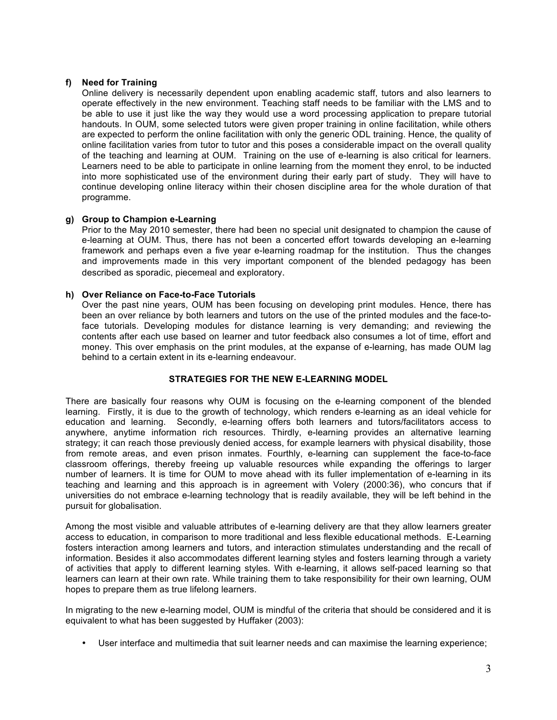# **f) Need for Training**

Online delivery is necessarily dependent upon enabling academic staff, tutors and also learners to operate effectively in the new environment. Teaching staff needs to be familiar with the LMS and to be able to use it just like the way they would use a word processing application to prepare tutorial handouts. In OUM, some selected tutors were given proper training in online facilitation, while others are expected to perform the online facilitation with only the generic ODL training. Hence, the quality of online facilitation varies from tutor to tutor and this poses a considerable impact on the overall quality of the teaching and learning at OUM. Training on the use of e-learning is also critical for learners. Learners need to be able to participate in online learning from the moment they enrol, to be inducted into more sophisticated use of the environment during their early part of study. They will have to continue developing online literacy within their chosen discipline area for the whole duration of that programme.

# **g) Group to Champion e-Learning**

Prior to the May 2010 semester, there had been no special unit designated to champion the cause of e-learning at OUM. Thus, there has not been a concerted effort towards developing an e-learning framework and perhaps even a five year e-learning roadmap for the institution. Thus the changes and improvements made in this very important component of the blended pedagogy has been described as sporadic, piecemeal and exploratory.

# **h) Over Reliance on Face-to-Face Tutorials**

Over the past nine years, OUM has been focusing on developing print modules. Hence, there has been an over reliance by both learners and tutors on the use of the printed modules and the face-toface tutorials. Developing modules for distance learning is very demanding; and reviewing the contents after each use based on learner and tutor feedback also consumes a lot of time, effort and money. This over emphasis on the print modules, at the expanse of e-learning, has made OUM lag behind to a certain extent in its e-learning endeavour.

#### **STRATEGIES FOR THE NEW E-LEARNING MODEL**

There are basically four reasons why OUM is focusing on the e-learning component of the blended learning. Firstly, it is due to the growth of technology, which renders e-learning as an ideal vehicle for education and learning. Secondly, e-learning offers both learners and tutors/facilitators access to anywhere, anytime information rich resources. Thirdly, e-learning provides an alternative learning strategy; it can reach those previously denied access, for example learners with physical disability, those from remote areas, and even prison inmates. Fourthly, e-learning can supplement the face-to-face classroom offerings, thereby freeing up valuable resources while expanding the offerings to larger number of learners. It is time for OUM to move ahead with its fuller implementation of e-learning in its teaching and learning and this approach is in agreement with Volery (2000:36), who concurs that if universities do not embrace e-learning technology that is readily available, they will be left behind in the pursuit for globalisation.

Among the most visible and valuable attributes of e-learning delivery are that they allow learners greater access to education, in comparison to more traditional and less flexible educational methods. E-Learning fosters interaction among learners and tutors, and interaction stimulates understanding and the recall of information. Besides it also accommodates different learning styles and fosters learning through a variety of activities that apply to different learning styles. With e-learning, it allows self-paced learning so that learners can learn at their own rate. While training them to take responsibility for their own learning, OUM hopes to prepare them as true lifelong learners.

In migrating to the new e-learning model, OUM is mindful of the criteria that should be considered and it is equivalent to what has been suggested by Huffaker (2003):

• User interface and multimedia that suit learner needs and can maximise the learning experience;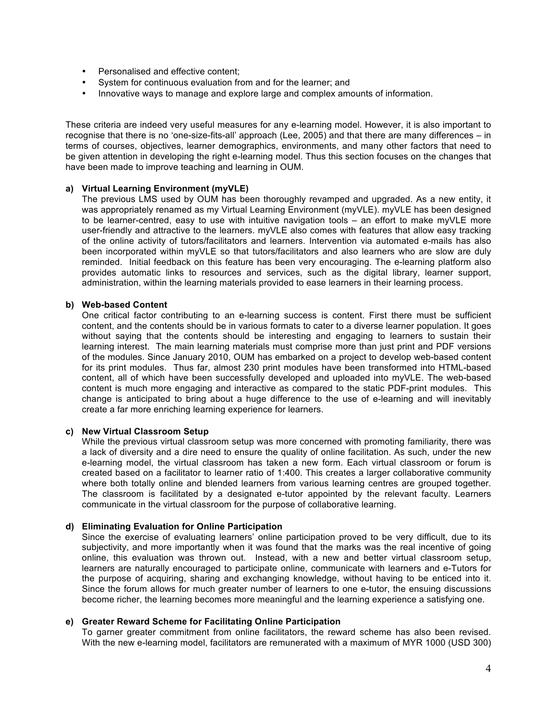- Personalised and effective content;
- System for continuous evaluation from and for the learner; and
- Innovative ways to manage and explore large and complex amounts of information.

These criteria are indeed very useful measures for any e-learning model. However, it is also important to recognise that there is no 'one-size-fits-all' approach (Lee, 2005) and that there are many differences – in terms of courses, objectives, learner demographics, environments, and many other factors that need to be given attention in developing the right e-learning model. Thus this section focuses on the changes that have been made to improve teaching and learning in OUM.

#### **a) Virtual Learning Environment (myVLE)**

The previous LMS used by OUM has been thoroughly revamped and upgraded. As a new entity, it was appropriately renamed as my Virtual Learning Environment (myVLE). myVLE has been designed to be learner-centred, easy to use with intuitive navigation tools – an effort to make myVLE more user-friendly and attractive to the learners. myVLE also comes with features that allow easy tracking of the online activity of tutors/facilitators and learners. Intervention via automated e-mails has also been incorporated within myVLE so that tutors/facilitators and also learners who are slow are duly reminded. Initial feedback on this feature has been very encouraging. The e-learning platform also provides automatic links to resources and services, such as the digital library, learner support, administration, within the learning materials provided to ease learners in their learning process.

# **b) Web-based Content**

One critical factor contributing to an e-learning success is content. First there must be sufficient content, and the contents should be in various formats to cater to a diverse learner population. It goes without saying that the contents should be interesting and engaging to learners to sustain their learning interest. The main learning materials must comprise more than just print and PDF versions of the modules. Since January 2010, OUM has embarked on a project to develop web-based content for its print modules. Thus far, almost 230 print modules have been transformed into HTML-based content, all of which have been successfully developed and uploaded into myVLE. The web-based content is much more engaging and interactive as compared to the static PDF-print modules. This change is anticipated to bring about a huge difference to the use of e-learning and will inevitably create a far more enriching learning experience for learners.

#### **c) New Virtual Classroom Setup**

While the previous virtual classroom setup was more concerned with promoting familiarity, there was a lack of diversity and a dire need to ensure the quality of online facilitation. As such, under the new e-learning model, the virtual classroom has taken a new form. Each virtual classroom or forum is created based on a facilitator to learner ratio of 1:400. This creates a larger collaborative community where both totally online and blended learners from various learning centres are grouped together. The classroom is facilitated by a designated e-tutor appointed by the relevant faculty. Learners communicate in the virtual classroom for the purpose of collaborative learning.

#### **d) Eliminating Evaluation for Online Participation**

Since the exercise of evaluating learners' online participation proved to be very difficult, due to its subjectivity, and more importantly when it was found that the marks was the real incentive of going online, this evaluation was thrown out. Instead, with a new and better virtual classroom setup, learners are naturally encouraged to participate online, communicate with learners and e-Tutors for the purpose of acquiring, sharing and exchanging knowledge, without having to be enticed into it. Since the forum allows for much greater number of learners to one e-tutor, the ensuing discussions become richer, the learning becomes more meaningful and the learning experience a satisfying one.

#### **e) Greater Reward Scheme for Facilitating Online Participation**

To garner greater commitment from online facilitators, the reward scheme has also been revised. With the new e-learning model, facilitators are remunerated with a maximum of MYR 1000 (USD 300)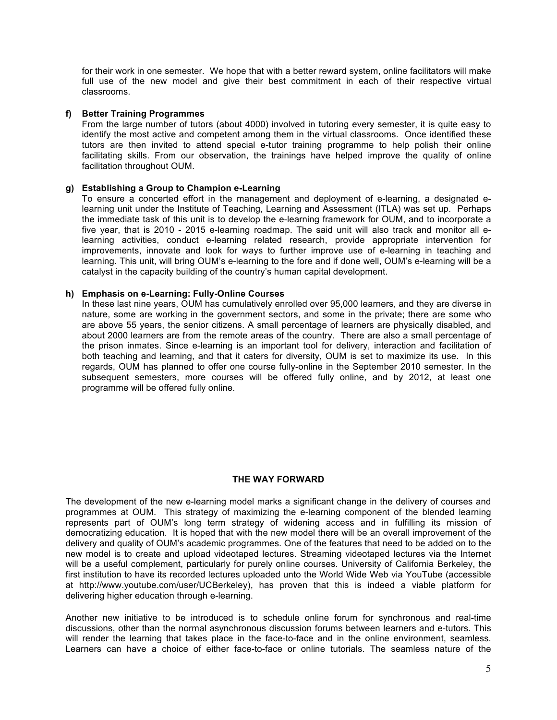for their work in one semester. We hope that with a better reward system, online facilitators will make full use of the new model and give their best commitment in each of their respective virtual classrooms.

## **f) Better Training Programmes**

From the large number of tutors (about 4000) involved in tutoring every semester, it is quite easy to identify the most active and competent among them in the virtual classrooms. Once identified these tutors are then invited to attend special e-tutor training programme to help polish their online facilitating skills. From our observation, the trainings have helped improve the quality of online facilitation throughout OUM.

#### **g) Establishing a Group to Champion e-Learning**

To ensure a concerted effort in the management and deployment of e-learning, a designated elearning unit under the Institute of Teaching, Learning and Assessment (ITLA) was set up. Perhaps the immediate task of this unit is to develop the e-learning framework for OUM, and to incorporate a five year, that is 2010 - 2015 e-learning roadmap. The said unit will also track and monitor all elearning activities, conduct e-learning related research, provide appropriate intervention for improvements, innovate and look for ways to further improve use of e-learning in teaching and learning. This unit, will bring OUM's e-learning to the fore and if done well, OUM's e-learning will be a catalyst in the capacity building of the country's human capital development.

#### **h) Emphasis on e-Learning: Fully-Online Courses**

In these last nine years, OUM has cumulatively enrolled over 95,000 learners, and they are diverse in nature, some are working in the government sectors, and some in the private; there are some who are above 55 years, the senior citizens. A small percentage of learners are physically disabled, and about 2000 learners are from the remote areas of the country. There are also a small percentage of the prison inmates. Since e-learning is an important tool for delivery, interaction and facilitation of both teaching and learning, and that it caters for diversity, OUM is set to maximize its use. In this regards, OUM has planned to offer one course fully-online in the September 2010 semester. In the subsequent semesters, more courses will be offered fully online, and by 2012, at least one programme will be offered fully online.

# **THE WAY FORWARD**

The development of the new e-learning model marks a significant change in the delivery of courses and programmes at OUM. This strategy of maximizing the e-learning component of the blended learning represents part of OUM's long term strategy of widening access and in fulfilling its mission of democratizing education. It is hoped that with the new model there will be an overall improvement of the delivery and quality of OUM's academic programmes. One of the features that need to be added on to the new model is to create and upload videotaped lectures. Streaming videotaped lectures via the Internet will be a useful complement, particularly for purely online courses. University of California Berkeley, the first institution to have its recorded lectures uploaded unto the World Wide Web via YouTube (accessible at http://www.youtube.com/user/UCBerkeley), has proven that this is indeed a viable platform for delivering higher education through e-learning.

Another new initiative to be introduced is to schedule online forum for synchronous and real-time discussions, other than the normal asynchronous discussion forums between learners and e-tutors. This will render the learning that takes place in the face-to-face and in the online environment, seamless. Learners can have a choice of either face-to-face or online tutorials. The seamless nature of the